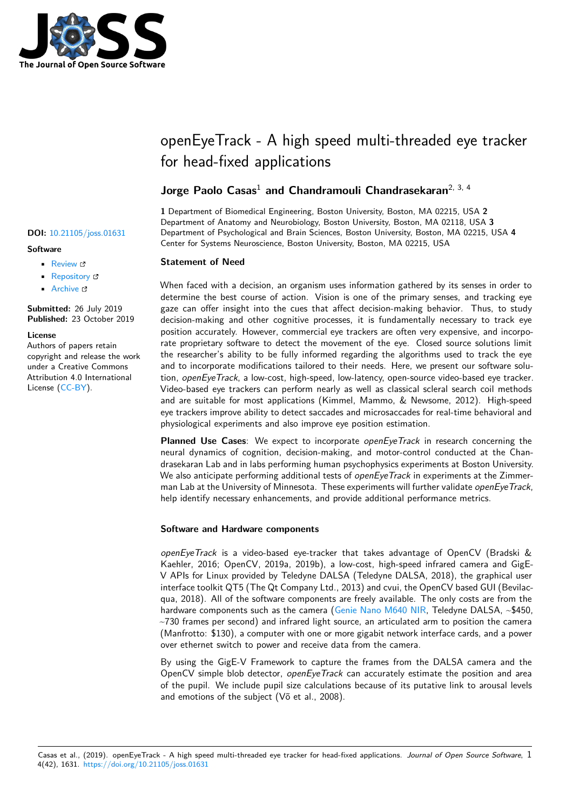

# openEyeTrack - A high speed multi-threaded eye tracker for head-fixed applications

# **Jorge Paolo Casas**<sup>1</sup> **and Chandramouli Chandrasekaran**2, 3, 4

**1** Department of Biomedical Engineering, Boston University, Boston, MA 02215, USA **2** Department of Anatomy and Neurobiology, Boston University, Boston, MA 02118, USA **3** Department of Psychological and Brain Sciences, Boston University, Boston, MA 02215, USA **4** Center for Systems Neuroscience, Boston University, Boston, MA 02215, USA

# **Statement of Need**

When faced with a decision, an organism uses information gathered by its senses in order to determine the best course of action. Vision is one of the primary senses, and tracking eye gaze can offer insight into the cues that affect decision-making behavior. Thus, to study decision-making and other cognitive processes, it is fundamentally necessary to track eye position accurately. However, commercial eye trackers are often very expensive, and incorporate proprietary software to detect the movement of the eye. Closed source solutions limit the researcher's ability to be fully informed regarding the algorithms used to track the eye and to incorporate modifications tailored to their needs. Here, we present our software solution, *openEyeTrack*, a low-cost, high-speed, low-latency, open-source video-based eye tracker. Video-based eye trackers can perform nearly as well as classical scleral search coil methods and are suitable for most applications (Kimmel, Mammo, & Newsome, 2012). High-speed eye trackers improve ability to detect saccades and microsaccades for real-time behavioral and physiological experiments and also improve eye position estimation.

**Planned Use Cases**: We expect to incorporate *openEyeTrack* in research concerning the neural dynamics of cognition, decision-making, and motor-control conducted at the Chandrasekaran Lab and in labs performing human psychophysics experiments at Boston University. We also anticipate performing additional tests of *openEyeTrack* in experiments at the Zimmerman Lab at the University of Minnesota. These experiments will further validate *openEyeTrack*, help identify necessary enhancements, and provide additional performance metrics.

# **Software and Hardware components**

*openEyeTrack* is a video-based eye-tracker that takes advantage of OpenCV (Bradski & Kaehler, 2016; OpenCV, 2019a, 2019b), a low-cost, high-speed infrared camera and GigE-V APIs for Linux provided by Teledyne DALSA (Teledyne DALSA, 2018), the graphical user interface toolkit QT5 (The Qt Company Ltd., 2013) and cvui, the OpenCV based GUI (Bevilacqua, 2018). All of the software components are freely available. The only costs are from the hardware components such as the camera (Genie Nano M640 NIR, Teledyne DALSA, ~\$450,  $\sim$ 730 frames per second) and infrared light source, an articulated arm to position the camera (Manfrotto: \$130), a computer with one or more gigabit network interface cards, and a power over ethernet switch to power and receive data from the camera.

By using the GigE-V Framework to captu[re the frames from the](https://www.teledynedalsa.com/en/products/imaging/cameras/genie-nano-1gige/) DALSA camera and the OpenCV simple blob detector, *openEyeTrack* can accurately estimate the position and area of the pupil. We include pupil size calculations because of its putative link to arousal levels and emotions of the subject (Võ et al., 2008).

#### Casas et al., (2019). openEyeTrack - A high speed multi-threaded eye tracker for head-fixed applications. *Journal of Open Source Software*, 14(42), 1631. https://doi.org/10.21105/joss.01631

### **DOI:** 10.21105/joss.01631

#### **Software**

- Review C
- [Repository](https://doi.org/10.21105/joss.01631)  $\circ$
- Archive

**Subm[itted:](https://github.com/openjournals/joss-reviews/issues/1631)** 26 July 2019 **Published:** [23 Oc](https://github.com/chand-lab/openEyeTrack)tober 2019

#### **Licen[se](https://doi.org/10.5281/zenodo.3515534)**

Authors of papers retain copyright and release the work under a Creative Commons Attribution 4.0 International License (CC-BY).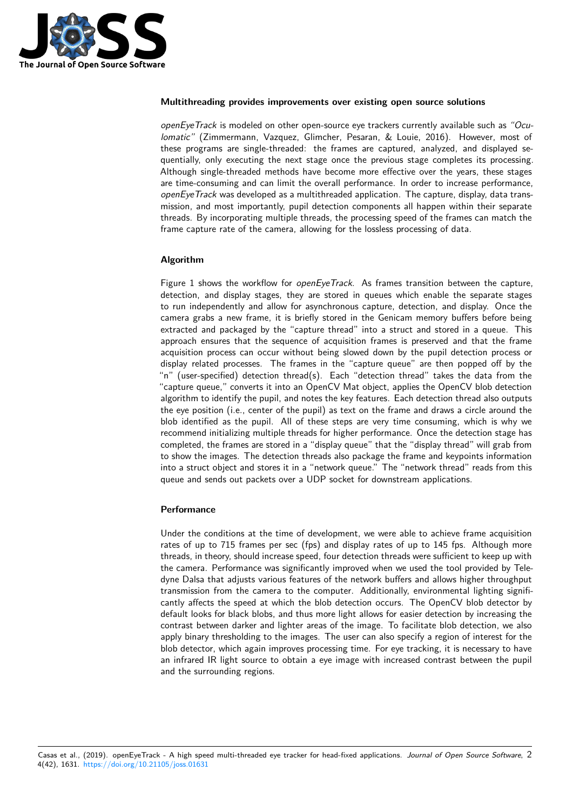

#### **Multithreading provides improvements over existing open source solutions**

*openEyeTrack* is modeled on other open-source eye trackers currently available such as *"Oculomatic"* (Zimmermann, Vazquez, Glimcher, Pesaran, & Louie, 2016). However, most of these programs are single-threaded: the frames are captured, analyzed, and displayed sequentially, only executing the next stage once the previous stage completes its processing. Although single-threaded methods have become more effective over the years, these stages are time-consuming and can limit the overall performance. In order to increase performance, *openEyeTrack* was developed as a multithreaded application. The capture, display, data transmission, and most importantly, pupil detection components all happen within their separate threads. By incorporating multiple threads, the processing speed of the frames can match the frame capture rate of the camera, allowing for the lossless processing of data.

# **Algorithm**

Figure 1 shows the workflow for *openEyeTrack*. As frames transition between the capture, detection, and display stages, they are stored in queues which enable the separate stages to run independently and allow for asynchronous capture, detection, and display. Once the camera grabs a new frame, it is briefly stored in the Genicam memory buffers before being extracted and packaged by the "capture thread" into a struct and stored in a queue. This approach ensures that the sequence of acquisition frames is preserved and that the frame acquisition process can occur without being slowed down by the pupil detection process or display related processes. The frames in the "capture queue" are then popped off by the "n" (user-specified) detection thread(s). Each "detection thread" takes the data from the "capture queue," converts it into an OpenCV Mat object, applies the OpenCV blob detection algorithm to identify the pupil, and notes the key features. Each detection thread also outputs the eye position (i.e., center of the pupil) as text on the frame and draws a circle around the blob identified as the pupil. All of these steps are very time consuming, which is why we recommend initializing multiple threads for higher performance. Once the detection stage has completed, the frames are stored in a "display queue" that the "display thread" will grab from to show the images. The detection threads also package the frame and keypoints information into a struct object and stores it in a "network queue." The "network thread" reads from this queue and sends out packets over a UDP socket for downstream applications.

## **Performance**

Under the conditions at the time of development, we were able to achieve frame acquisition rates of up to 715 frames per sec (fps) and display rates of up to 145 fps. Although more threads, in theory, should increase speed, four detection threads were sufficient to keep up with the camera. Performance was significantly improved when we used the tool provided by Teledyne Dalsa that adjusts various features of the network buffers and allows higher throughput transmission from the camera to the computer. Additionally, environmental lighting significantly affects the speed at which the blob detection occurs. The OpenCV blob detector by default looks for black blobs, and thus more light allows for easier detection by increasing the contrast between darker and lighter areas of the image. To facilitate blob detection, we also apply binary thresholding to the images. The user can also specify a region of interest for the blob detector, which again improves processing time. For eye tracking, it is necessary to have an infrared IR light source to obtain a eye image with increased contrast between the pupil and the surrounding regions.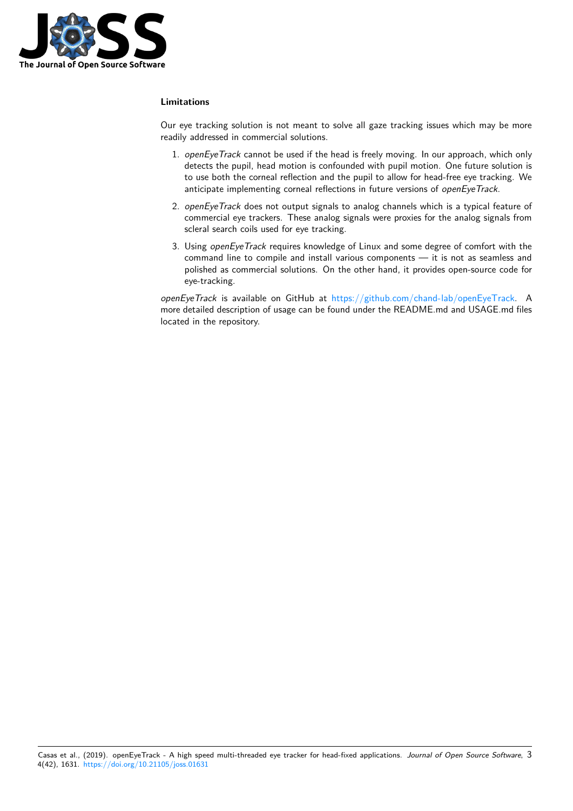

# **Limitations**

Our eye tracking solution is not meant to solve all gaze tracking issues which may be more readily addressed in commercial solutions.

- 1. *openEyeTrack* cannot be used if the head is freely moving. In our approach, which only detects the pupil, head motion is confounded with pupil motion. One future solution is to use both the corneal reflection and the pupil to allow for head-free eye tracking. We anticipate implementing corneal reflections in future versions of *openEyeTrack*.
- 2. *openEyeTrack* does not output signals to analog channels which is a typical feature of commercial eye trackers. These analog signals were proxies for the analog signals from scleral search coils used for eye tracking.
- 3. Using *openEyeTrack* requires knowledge of Linux and some degree of comfort with the command line to compile and install various components — it is not as seamless and polished as commercial solutions. On the other hand, it provides open-source code for eye-tracking.

*openEyeTrack* is available on GitHub at https://github.com/chand-lab/openEyeTrack. A more detailed description of usage can be found under the README.md and USAGE.md files located in the repository.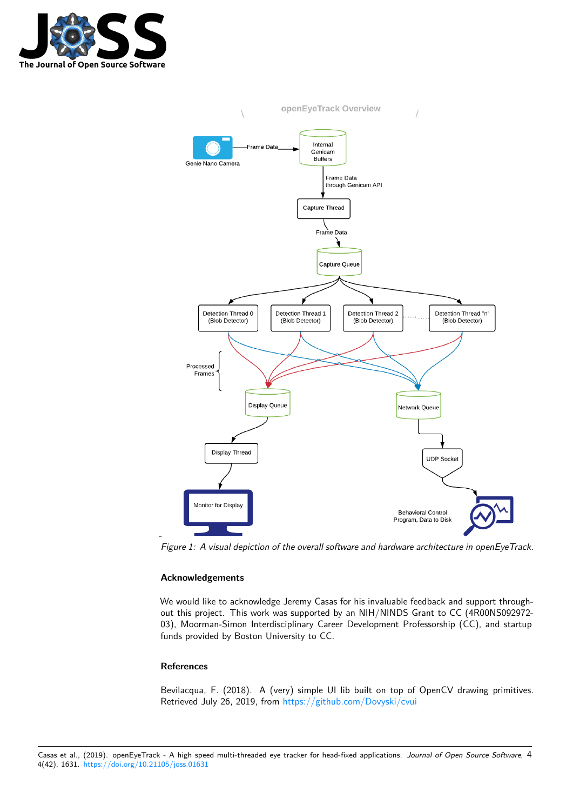



*Figure 1: A visual depiction of the overall software and hardware architecture in openEyeTrack.*

# **Acknowledgements**

We would like to acknowledge Jeremy Casas for his invaluable feedback and support throughout this project. This work was supported by an NIH/NINDS Grant to CC (4R00NS092972- 03), Moorman-Simon Interdisciplinary Career Development Professorship (CC), and startup funds provided by Boston University to CC.

# **References**

-

Bevilacqua, F. (2018). A (very) simple UI lib built on top of OpenCV drawing primitives. Retrieved July 26, 2019, from https://github.com/Dovyski/cvui